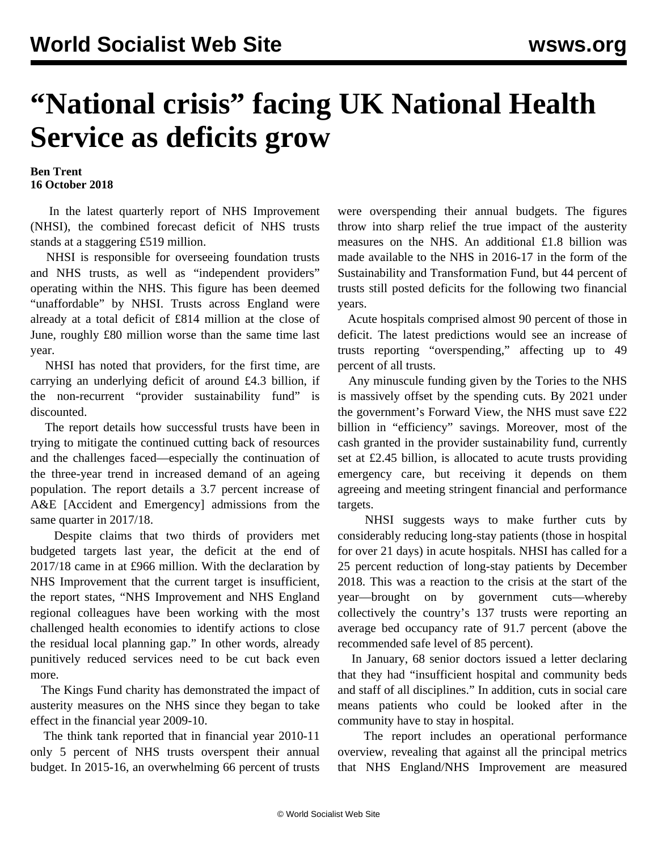## **"National crisis" facing UK National Health Service as deficits grow**

**Ben Trent 16 October 2018**

 In the latest quarterly report of NHS Improvement (NHSI), the combined forecast deficit of NHS trusts stands at a staggering £519 million.

 NHSI is responsible for overseeing foundation trusts and NHS trusts, as well as "independent providers" operating within the NHS. This figure has been deemed "unaffordable" by NHSI. Trusts across England were already at a total deficit of £814 million at the close of June, roughly £80 million worse than the same time last year.

 NHSI has noted that providers, for the first time, are carrying an underlying deficit of around £4.3 billion, if the non-recurrent "provider sustainability fund" is discounted.

 The report details how successful trusts have been in trying to mitigate the continued cutting back of resources and the challenges faced—especially the continuation of the three-year trend in increased demand of an ageing population. The report details a 3.7 percent increase of A&E [Accident and Emergency] admissions from the same quarter in 2017/18.

 Despite claims that two thirds of providers met budgeted targets last year, the deficit at the end of 2017/18 came in at £966 million. With the declaration by NHS Improvement that the current target is insufficient, the report states, "NHS Improvement and NHS England regional colleagues have been working with the most challenged health economies to identify actions to close the residual local planning gap." In other words, already punitively reduced services need to be cut back even more.

 The Kings Fund charity has demonstrated the impact of austerity measures on the NHS since they began to take effect in the financial year 2009-10.

 The think tank reported that in financial year 2010-11 only 5 percent of NHS trusts overspent their annual budget. In 2015-16, an overwhelming 66 percent of trusts

were overspending their annual budgets. The figures throw into sharp relief the true impact of the austerity measures on the NHS. An additional £1.8 billion was made available to the NHS in 2016-17 in the form of the Sustainability and Transformation Fund, but 44 percent of trusts still posted deficits for the following two financial years.

 Acute hospitals comprised almost 90 percent of those in deficit. The latest predictions would see an increase of trusts reporting "overspending," affecting up to 49 percent of all trusts.

 Any minuscule funding given by the Tories to the NHS is massively offset by the spending cuts. By 2021 under the government's Forward View, the NHS must save £22 billion in "efficiency" savings. Moreover, most of the cash granted in the provider sustainability fund, currently set at £2.45 billion, is allocated to acute trusts providing emergency care, but receiving it depends on them agreeing and meeting stringent financial and performance targets.

 NHSI suggests ways to make further cuts by considerably reducing long-stay patients (those in hospital for over 21 days) in acute hospitals. NHSI has called for a 25 percent reduction of long-stay patients by December 2018. This was a reaction to the crisis at the start of the year—brought on by government cuts—whereby collectively the country's 137 trusts were reporting an average bed occupancy rate of 91.7 percent (above the recommended safe level of 85 percent).

 In January, 68 senior doctors issued a letter declaring that they had "insufficient hospital and community beds and staff of all disciplines." In addition, cuts in social care means patients who could be looked after in the community have to stay in hospital.

 The report includes an operational performance overview, revealing that against all the principal metrics that NHS England/NHS Improvement are measured